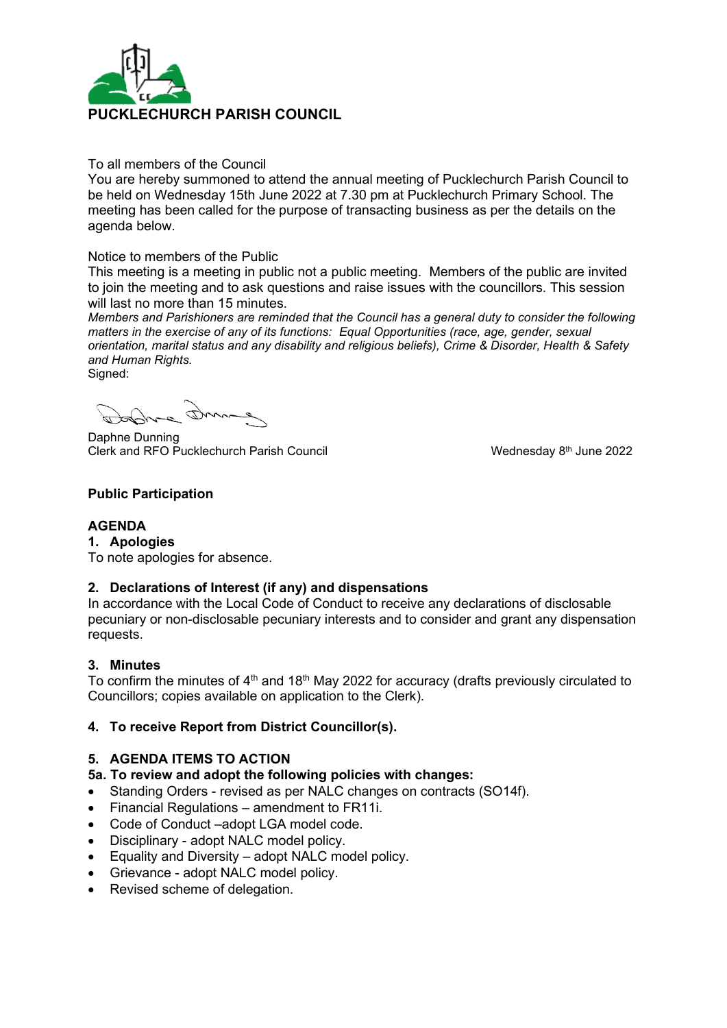

#### To all members of the Council

You are hereby summoned to attend the annual meeting of Pucklechurch Parish Council to be held on Wednesday 15th June 2022 at 7.30 pm at Pucklechurch Primary School. The meeting has been called for the purpose of transacting business as per the details on the agenda below.

#### Notice to members of the Public

This meeting is a meeting in public not a public meeting. Members of the public are invited to join the meeting and to ask questions and raise issues with the councillors. This session will last no more than 15 minutes.

*Members and Parishioners are reminded that the Council has a general duty to consider the following matters in the exercise of any of its functions: Equal Opportunities (race, age, gender, sexual orientation, marital status and any disability and religious beliefs), Crime & Disorder, Health & Safety and Human Rights.* Signed:

Daphne Dunning Clerk and RFO Pucklechurch Parish Council

Wednesday 8<sup>th</sup> June 2022

# **Public Participation**

# **AGENDA**

# **1. Apologies**

To note apologies for absence.

# **2. Declarations of Interest (if any) and dispensations**

In accordance with the Local Code of Conduct to receive any declarations of disclosable pecuniary or non-disclosable pecuniary interests and to consider and grant any dispensation requests.

# **3. Minutes**

To confirm the minutes of  $4<sup>th</sup>$  and 18<sup>th</sup> May 2022 for accuracy (drafts previously circulated to Councillors; copies available on application to the Clerk).

# **4. To receive Report from District Councillor(s).**

# **5. AGENDA ITEMS TO ACTION**

# **5a. To review and adopt the following policies with changes:**

- Standing Orders revised as per NALC changes on contracts (SO14f).
- Financial Regulations amendment to FR11i.
- Code of Conduct –adopt LGA model code.
- Disciplinary adopt NALC model policy.
- Equality and Diversity adopt NALC model policy.
- Grievance adopt NALC model policy.
- Revised scheme of delegation.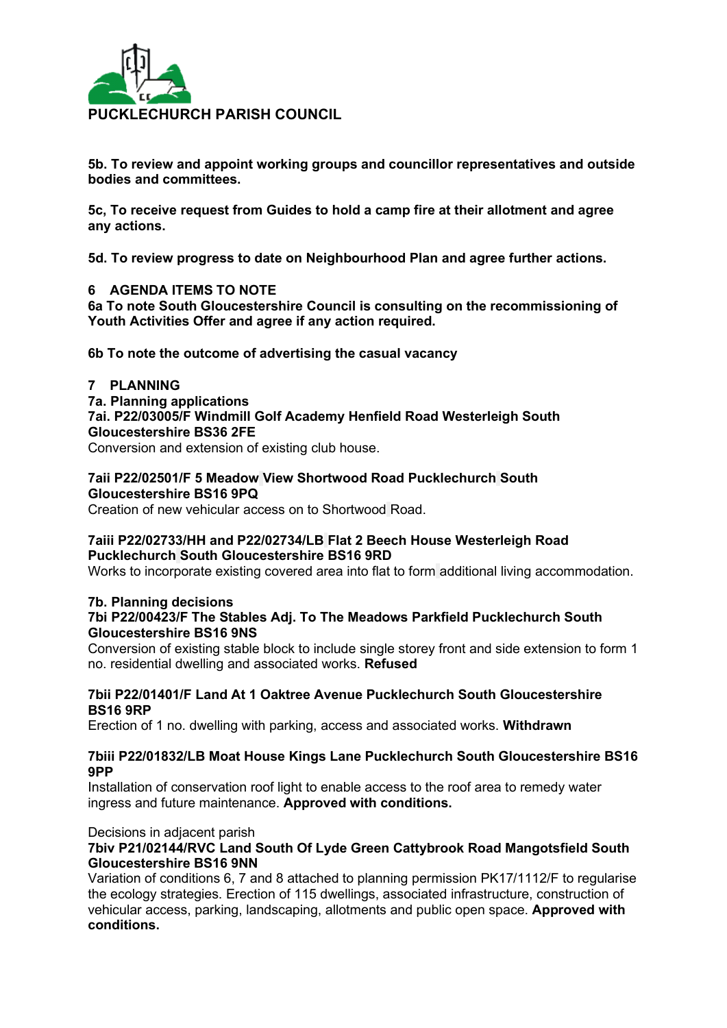

**5b. To review and appoint working groups and councillor representatives and outside bodies and committees.**

**5c, To receive request from Guides to hold a camp fire at their allotment and agree any actions.**

**5d. To review progress to date on Neighbourhood Plan and agree further actions.**

#### **6 AGENDA ITEMS TO NOTE**

**6a To note South Gloucestershire Council is consulting on the recommissioning of Youth Activities Offer and agree if any action required.**

**6b To note the outcome of advertising the casual vacancy**

#### **7 PLANNING**

**7a. Planning applications**

**7ai. P22/03005/F Windmill Golf Academy Henfield Road Westerleigh South Gloucestershire BS36 2FE**

Conversion and extension of existing club house.

#### **7aii P22/02501/F 5 Meadow View Shortwood Road Pucklechurch South Gloucestershire BS16 9PQ**

Creation of new vehicular access on to Shortwood Road.

#### **7aiii P22/02733/HH and P22/02734/LB Flat 2 Beech House Westerleigh Road Pucklechurch South Gloucestershire BS16 9RD**

Works to incorporate existing covered area into flat to form additional living accommodation.

#### **7b. Planning decisions 7bi P22/00423/F The Stables Adj. To The Meadows Parkfield Pucklechurch South Gloucestershire BS16 9NS**

Conversion of existing stable block to include single storey front and side extension to form 1 no. residential dwelling and associated works. **Refused**

#### **7bii P22/01401/F Land At 1 Oaktree Avenue Pucklechurch South Gloucestershire BS16 9RP**

Erection of 1 no. dwelling with parking, access and associated works. **Withdrawn**

#### **7biii P22/01832/LB Moat House Kings Lane Pucklechurch South Gloucestershire BS16 9PP**

Installation of conservation roof light to enable access to the roof area to remedy water ingress and future maintenance. **Approved with conditions.**

#### Decisions in adjacent parish

# **7biv P21/02144/RVC Land South Of Lyde Green Cattybrook Road Mangotsfield South Gloucestershire BS16 9NN**

Variation of conditions 6, 7 and 8 attached to planning permission PK17/1112/F to regularise the ecology strategies. Erection of 115 dwellings, associated infrastructure, construction of vehicular access, parking, landscaping, allotments and public open space. **Approved with conditions.**